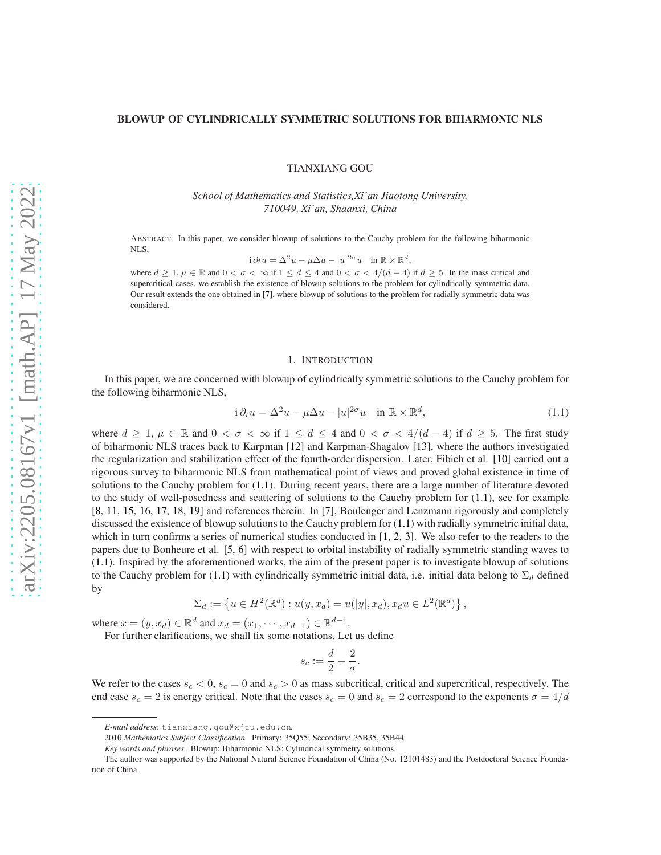# BLOWUP OF CYLINDRICALLY SYMMETRIC SOLUTIONS FOR BIHARMONIC NLS

TIANXIANG GOU

*School of Mathematics and Statistics,Xi'an Jiaotong University, 710049, Xi'an, Shaanxi, China*

ABSTRACT. In this paper, we consider blowup of solutions to the Cauchy problem for the following biharmonic NLS,

$$
i \partial_t u = \Delta^2 u - \mu \Delta u - |u|^{2\sigma} u \quad \text{in } \mathbb{R} \times \mathbb{R}^d,
$$

where  $d \geq 1$ ,  $\mu \in \mathbb{R}$  and  $0 < \sigma < \infty$  if  $1 \leq d \leq 4$  and  $0 < \sigma < 4/(d-4)$  if  $d \geq 5$ . In the mass critical and supercritical cases, we establish the existence of blowup solutions to the problem for cylindrically symmetric data. Our result extends the one obtained in [\[7\]](#page-8-0), where blowup of solutions to the problem for radially symmetric data was considered.

### <span id="page-0-0"></span>1. INTRODUCTION

In this paper, we are concerned with blowup of cylindrically symmetric solutions to the Cauchy problem for the following biharmonic NLS,

$$
i \partial_t u = \Delta^2 u - \mu \Delta u - |u|^{2\sigma} u \quad \text{in } \mathbb{R} \times \mathbb{R}^d,
$$
\n(1.1)

where  $d \geq 1$ ,  $\mu \in \mathbb{R}$  and  $0 < \sigma < \infty$  if  $1 \leq d \leq 4$  and  $0 < \sigma < 4/(d-4)$  if  $d \geq 5$ . The first study of biharmonic NLS traces back to Karpman [\[12\]](#page-8-1) and Karpman-Shagalov [\[13\]](#page-8-2), where the authors investigated the regularization and stabilization effect of the fourth-order dispersion. Later, Fibich et al. [\[10\]](#page-8-3) carried out a rigorous survey to biharmonic NLS from mathematical point of views and proved global existence in time of solutions to the Cauchy problem for [\(1.1\)](#page-0-0). During recent years, there are a large number of literature devoted to the study of well-posedness and scattering of solutions to the Cauchy problem for [\(1.1\)](#page-0-0), see for example [\[8,](#page-8-4) [11,](#page-8-5) [15,](#page-8-6) [16,](#page-8-7) [17,](#page-8-8) [18,](#page-8-9) [19\]](#page-8-10) and references therein. In [\[7\]](#page-8-0), Boulenger and Lenzmann rigorously and completely discussed the existence of blowup solutions to the Cauchy problem for [\(1.1\)](#page-0-0) with radially symmetric initial data, which in turn confirms a series of numerical studies conducted in [\[1,](#page-8-11) [2,](#page-8-12) [3\]](#page-8-13). We also refer to the readers to the papers due to Bonheure et al. [\[5,](#page-8-14) [6\]](#page-8-15) with respect to orbital instability of radially symmetric standing waves to [\(1.1\)](#page-0-0). Inspired by the aforementioned works, the aim of the present paper is to investigate blowup of solutions to the Cauchy problem for [\(1.1\)](#page-0-0) with cylindrically symmetric initial data, i.e. initial data belong to  $\Sigma_d$  defined by

$$
\Sigma_d := \left\{ u \in H^2(\mathbb{R}^d) : u(y, x_d) = u(|y|, x_d), x_d u \in L^2(\mathbb{R}^d) \right\},\
$$

where  $x = (y, x_d) \in \mathbb{R}^d$  and  $x_d = (x_1, \dots, x_{d-1}) \in \mathbb{R}^{d-1}$ .

For further clarifications, we shall fix some notations. Let us define

$$
s_c := \frac{d}{2} - \frac{2}{\sigma}.
$$

We refer to the cases  $s_c < 0$ ,  $s_c = 0$  and  $s_c > 0$  as mass subcritical, critical and supercritical, respectively. The end case  $s_c = 2$  is energy critical. Note that the cases  $s_c = 0$  and  $s_c = 2$  correspond to the exponents  $\sigma = 4/d$ 

*E-mail address*: tianxiang.gou@xjtu.edu.cn.

<sup>2010</sup> *Mathematics Subject Classification.* Primary: 35Q55; Secondary: 35B35, 35B44.

*Key words and phrases.* Blowup; Biharmonic NLS; Cylindrical symmetry solutions.

The author was supported by the National Natural Science Foundation of China (No. 12101483) and the Postdoctoral Science Foundation of China.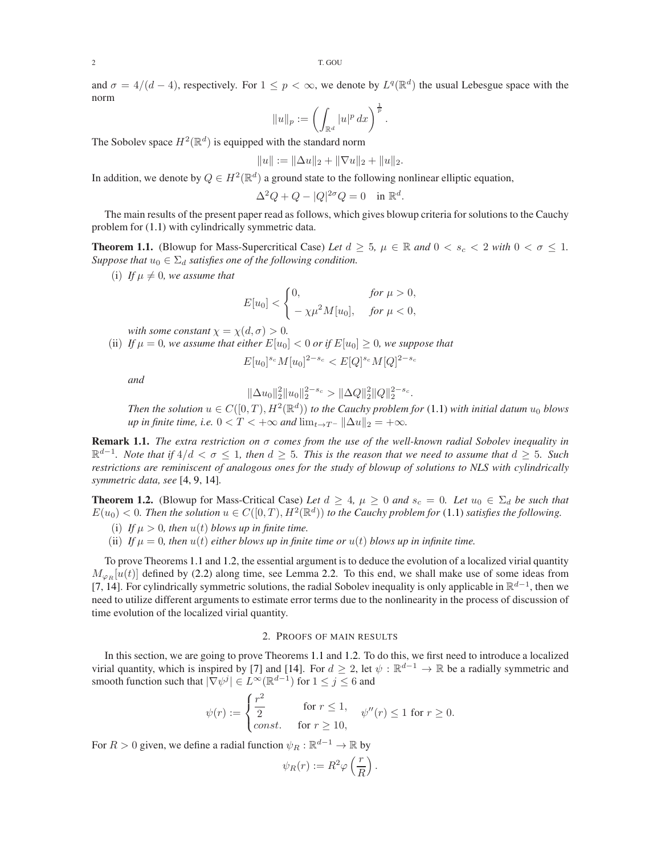and  $\sigma = 4/(d-4)$ , respectively. For  $1 \leq p < \infty$ , we denote by  $L^q(\mathbb{R}^d)$  the usual Lebesgue space with the norm

$$
||u||_p := \left(\int_{\mathbb{R}^d} |u|^p dx\right)^{\frac{1}{p}}.
$$

The Sobolev space  $H^2(\mathbb{R}^d)$  is equipped with the standard norm

$$
||u|| := ||\Delta u||_2 + ||\nabla u||_2 + ||u||_2.
$$

In addition, we denote by  $Q \in H^2(\mathbb{R}^d)$  a ground state to the following nonlinear elliptic equation,

$$
\Delta^2 Q + Q - |Q|^{2\sigma} Q = 0 \quad \text{in } \mathbb{R}^d.
$$

The main results of the present paper read as follows, which gives blowup criteria for solutions to the Cauchy problem for [\(1.1\)](#page-0-0) with cylindrically symmetric data.

<span id="page-1-0"></span>**Theorem 1.1.** (Blowup for Mass-Supercritical Case) Let  $d \geq 5$ ,  $\mu \in \mathbb{R}$  and  $0 < s_c < 2$  with  $0 < \sigma \leq 1$ . *Suppose that*  $u_0 \in \Sigma_d$  *satisfies one of the following condition.* 

(i) If  $\mu \neq 0$ , we assume that

$$
E[u_0] < \begin{cases} 0, & \text{for } \mu > 0, \\ -\chi\mu^2 M[u_0], & \text{for } \mu < 0, \end{cases}
$$

*with some constant*  $\chi = \chi(d, \sigma) > 0$ *.* 

(ii) If 
$$
\mu = 0
$$
, we assume that either  $E[u_0] < 0$  or if  $E[u_0] \geq 0$ , we suppose that

$$
E[u_0]^{s_c}M[u_0]^{2-s_c} < E[Q]^{s_c}M[Q]^{2-s_c}
$$

*and*

$$
\|\Delta u_0\|_2^2\|u_0\|_2^{2-s_c} > \|\Delta Q\|_2^2\|Q\|_2^{2-s_c}
$$

*Then the solution*  $u \in C([0, T), H^2(\mathbb{R}^d))$  *to the Cauchy problem for* [\(1.1\)](#page-0-0) *with initial datum*  $u_0$  *blows up in finite time, i.e.*  $0 < T < +\infty$  *and*  $\lim_{t\to T^-} ||\Delta u||_2 = +\infty$ *.* 

.

Remark 1.1. *The extra restriction on* σ *comes from the use of the well-known radial Sobolev inequality in* R d−1 *. Note that if* 4/d < σ ≤ 1*, then* d ≥ 5*. This is the reason that we need to assume that* d ≥ 5*. Such restrictions are reminiscent of analogous ones for the study of blowup of solutions to NLS with cylindrically symmetric data, see* [\[4,](#page-8-16) [9,](#page-8-17) [14\]](#page-8-18)*.*

<span id="page-1-1"></span>**Theorem 1.2.** (Blowup for Mass-Critical Case) Let  $d \geq 4$ ,  $\mu \geq 0$  and  $s_c = 0$ . Let  $u_0 \in \Sigma_d$  be such that  $E(u_0) < 0$ . Then the solution  $u \in C([0,T), H^2(\mathbb{R}^d))$  to the Cauchy problem for [\(1.1\)](#page-0-0) satisfies the following.

- (i) If  $\mu > 0$ , then  $u(t)$  blows up in finite time.
- (ii) If  $\mu = 0$ , then  $u(t)$  either blows up in finite time or  $u(t)$  blows up in infinite time.

To prove Theorems [1.1](#page-1-0) and [1.2,](#page-1-1) the essential argument is to deduce the evolution of a localized virial quantity  $M_{\varphi_R}[u(t)]$  defined by [\(2.2\)](#page-2-0) along time, see Lemma [2.2.](#page-2-1) To this end, we shall make use of some ideas from [\[7,](#page-8-0) [14\]](#page-8-18). For cylindrically symmetric solutions, the radial Sobolev inequality is only applicable in  $\mathbb{R}^{d-1}$ , then we need to utilize different arguments to estimate error terms due to the nonlinearity in the process of discussion of time evolution of the localized virial quantity.

## 2. PROOFS OF MAIN RESULTS

In this section, we are going to prove Theorems [1.1](#page-1-0) and [1.2.](#page-1-1) To do this, we first need to introduce a localized virial quantity, which is inspired by [\[7\]](#page-8-0) and [\[14\]](#page-8-18). For  $d \geq 2$ , let  $\psi : \mathbb{R}^{d-1} \to \mathbb{R}$  be a radially symmetric and smooth function such that  $|\nabla \psi^j| \in L^\infty(\mathbb{R}^{d-1})$  for  $1 \leq j \leq 6$  and

$$
\psi(r) := \begin{cases} \frac{r^2}{2} & \text{for } r \le 1, \\ const. & \text{for } r \ge 10, \end{cases} \quad \psi''(r) \le 1 \text{ for } r \ge 0.
$$

For  $R > 0$  given, we define a radial function  $\psi_R : \mathbb{R}^{d-1} \to \mathbb{R}$  by

$$
\psi_R(r) := R^2 \varphi \left(\frac{r}{R}\right).
$$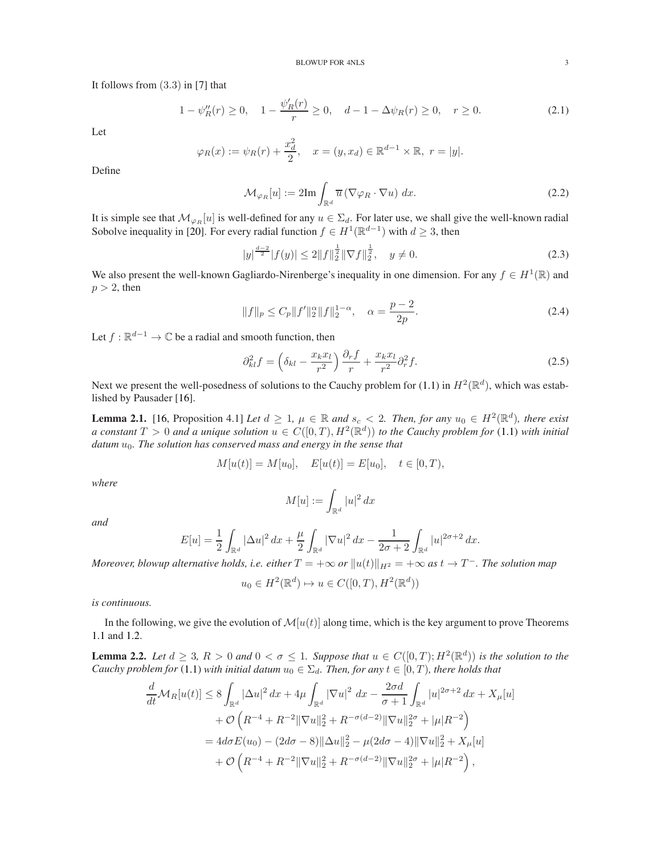It follows from (3.3) in [\[7\]](#page-8-0) that

$$
1 - \psi_R''(r) \ge 0, \quad 1 - \frac{\psi_R'(r)}{r} \ge 0, \quad d - 1 - \Delta \psi_R(r) \ge 0, \quad r \ge 0.
$$
 (2.1)

Let

$$
\varphi_R(x) := \psi_R(r) + \frac{x_d^2}{2}, \quad x = (y, x_d) \in \mathbb{R}^{d-1} \times \mathbb{R}, \ r = |y|.
$$

Define

<span id="page-2-3"></span><span id="page-2-0"></span>
$$
\mathcal{M}_{\varphi_R}[u] := 2\mathrm{Im} \int_{\mathbb{R}^d} \overline{u} \left( \nabla \varphi_R \cdot \nabla u \right) dx. \tag{2.2}
$$

It is simple see that  $\mathcal{M}_{\varphi_R}[u]$  is well-defined for any  $u \in \Sigma_d$ . For later use, we shall give the well-known radial Sobolve inequality in [\[20\]](#page-8-19). For every radial function  $f \in H^1(\mathbb{R}^{d-1})$  with  $d \geq 3$ , then

<span id="page-2-4"></span>
$$
|y|^{\frac{d-2}{2}}|f(y)| \le 2||f||_2^{\frac{1}{2}}\|\nabla f\|_2^{\frac{1}{2}}, \quad y \ne 0.
$$
 (2.3)

We also present the well-known Gagliardo-Nirenberge's inequality in one dimension. For any  $f \in H^1(\mathbb{R})$  and  $p > 2$ , then

<span id="page-2-5"></span>
$$
||f||_p \le C_p ||f'||_2^{\alpha} ||f||_2^{1-\alpha}, \quad \alpha = \frac{p-2}{2p}.
$$
 (2.4)

Let  $f : \mathbb{R}^{d-1} \to \mathbb{C}$  be a radial and smooth function, then

$$
\partial_{kl}^2 f = \left(\delta_{kl} - \frac{x_k x_l}{r^2}\right) \frac{\partial_r f}{r} + \frac{x_k x_l}{r^2} \partial_r^2 f. \tag{2.5}
$$

Next we present the well-posedness of solutions to the Cauchy problem for [\(1.1\)](#page-0-0) in  $H^2(\mathbb{R}^d)$ , which was established by Pausader [\[16\]](#page-8-7).

**Lemma 2.1.** [\[16,](#page-8-7) Proposition 4.1] *Let*  $d \geq 1$ ,  $\mu \in \mathbb{R}$  and  $s_c < 2$ . *Then, for any*  $u_0 \in H^2(\mathbb{R}^d)$ , there exist *a* constant  $T > 0$  and a unique solution  $u \in C([0, T), H^2(\mathbb{R}^d))$  to the Cauchy problem for  $(1.1)$  with initial datum  $u_0$ . The solution has conserved mass and energy in the sense that

$$
M[u(t)] = M[u_0], \quad E[u(t)] = E[u_0], \quad t \in [0, T),
$$

*where*

<span id="page-2-2"></span>
$$
M[u] := \int_{\mathbb{R}^d} |u|^2 \, dx
$$

*and*

$$
E[u] = \frac{1}{2} \int_{\mathbb{R}^d} |\Delta u|^2 \, dx + \frac{\mu}{2} \int_{\mathbb{R}^d} |\nabla u|^2 \, dx - \frac{1}{2\sigma + 2} \int_{\mathbb{R}^d} |u|^{2\sigma + 2} \, dx.
$$

*Moreover, blowup alternative holds, i.e. either*  $T = +\infty$  *or*  $||u(t)||_{H^2} = +\infty$  *as*  $t \to T^-$ *. The solution map* 

$$
u_0 \in H^2(\mathbb{R}^d) \mapsto u \in C([0, T), H^2(\mathbb{R}^d))
$$

*is continuous.*

In the following, we give the evolution of  $\mathcal{M}[u(t)]$  along time, which is the key argument to prove Theorems [1.1](#page-1-0) and [1.2.](#page-1-1)

<span id="page-2-1"></span>**Lemma 2.2.** Let  $d \geq 3$ ,  $R > 0$  and  $0 < \sigma \leq 1$ . Suppose that  $u \in C([0, T); H^2(\mathbb{R}^d))$  is the solution to the *Cauchy problem for* [\(1.1\)](#page-0-0) *with initial datum*  $u_0 \in \Sigma_d$ *. Then, for any*  $t \in [0, T)$ *, there holds that* 

$$
\frac{d}{dt}\mathcal{M}_{R}[u(t)] \leq 8 \int_{\mathbb{R}^{d}} |\Delta u|^{2} dx + 4\mu \int_{\mathbb{R}^{d}} |\nabla u|^{2} dx - \frac{2\sigma d}{\sigma + 1} \int_{\mathbb{R}^{d}} |u|^{2\sigma + 2} dx + X_{\mu}[u] \n+ \mathcal{O}\left(R^{-4} + R^{-2} \|\nabla u\|_{2}^{2} + R^{-\sigma(d-2)} \|\nabla u\|_{2}^{2\sigma} + |\mu|R^{-2}\right) \n= 4d\sigma E(u_{0}) - (2d\sigma - 8) \|\Delta u\|_{2}^{2} - \mu(2d\sigma - 4) \|\nabla u\|_{2}^{2} + X_{\mu}[u] \n+ \mathcal{O}\left(R^{-4} + R^{-2} \|\nabla u\|_{2}^{2} + R^{-\sigma(d-2)} \|\nabla u\|_{2}^{2\sigma} + |\mu|R^{-2}\right),
$$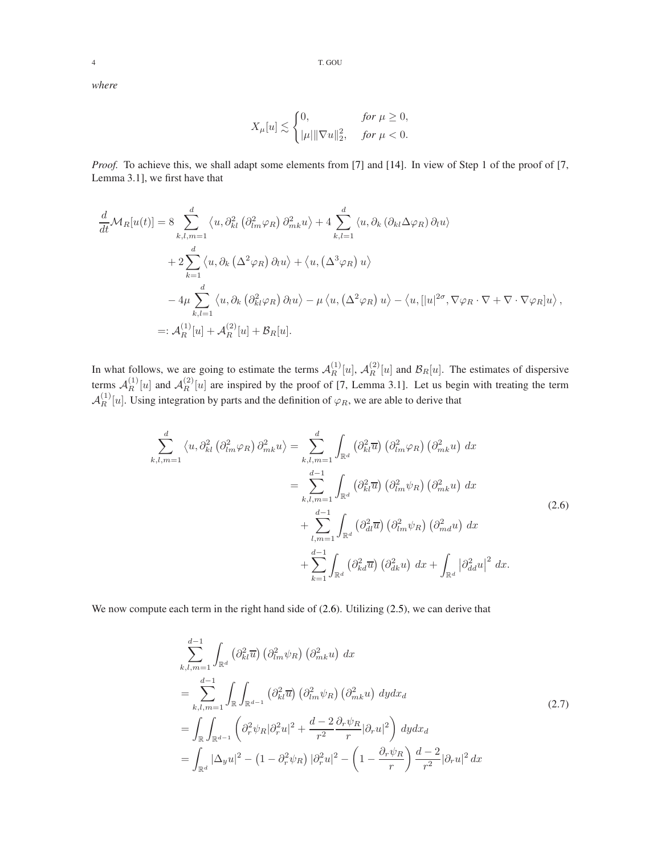*where*

$$
X_{\mu}[u] \lesssim \begin{cases} 0, & \text{for } \mu \ge 0, \\ |\mu| \|\nabla u\|_2^2, & \text{for } \mu < 0. \end{cases}
$$

*Proof.* To achieve this, we shall adapt some elements from [\[7\]](#page-8-0) and [\[14\]](#page-8-18). In view of Step 1 of the proof of [\[7,](#page-8-0) Lemma 3.1], we first have that

$$
\frac{d}{dt}\mathcal{M}_{R}[u(t)] = 8 \sum_{k,l,m=1}^{d} \langle u, \partial_{kl}^{2} (\partial_{lm}^{2} \varphi_{R}) \partial_{mk}^{2} u \rangle + 4 \sum_{k,l=1}^{d} \langle u, \partial_{k} (\partial_{kl} \Delta \varphi_{R}) \partial_{l} u \rangle \n+ 2 \sum_{k=1}^{d} \langle u, \partial_{k} (\Delta^{2} \varphi_{R}) \partial_{l} u \rangle + \langle u, (\Delta^{3} \varphi_{R}) u \rangle \n- 4 \mu \sum_{k,l=1}^{d} \langle u, \partial_{k} (\partial_{kl}^{2} \varphi_{R}) \partial_{l} u \rangle - \mu \langle u, (\Delta^{2} \varphi_{R}) u \rangle - \langle u, [|u|^{2\sigma}, \nabla \varphi_{R} \cdot \nabla + \nabla \cdot \nabla \varphi_{R}] u \rangle ,\n=:\mathcal{A}_{R}^{(1)}[u] + \mathcal{A}_{R}^{(2)}[u] + \mathcal{B}_{R}[u].
$$

In what follows, we are going to estimate the terms  $A_R^{(1)}[u]$ ,  $A_R^{(2)}[u]$  and  $B_R[u]$ . The estimates of dispersive terms  $\mathcal{A}_R^{(1)}$  $\mathcal{A}_R^{(1)}[u]$  and  $\mathcal{A}_R^{(2)}$  $R_R^{(2)}[u]$  are inspired by the proof of [\[7,](#page-8-0) Lemma 3.1]. Let us begin with treating the term  $\mathcal{A}_R^{(1)}[u]$ . Using integration by parts and the definition of  $\varphi_R$ , we are able to derive that

$$
\sum_{k,l,m=1}^{d} \langle u, \partial_{kl}^{2} (\partial_{lm}^{2} \varphi_{R}) \partial_{mk}^{2} u \rangle = \sum_{k,l,m=1}^{d} \int_{\mathbb{R}^{d}} (\partial_{kl}^{2} \overline{u}) (\partial_{lm}^{2} \varphi_{R}) (\partial_{mk}^{2} u) dx
$$
  
\n
$$
= \sum_{k,l,m=1}^{d-1} \int_{\mathbb{R}^{d}} (\partial_{kl}^{2} \overline{u}) (\partial_{lm}^{2} \psi_{R}) (\partial_{mk}^{2} u) dx
$$
  
\n
$$
+ \sum_{l,m=1}^{d-1} \int_{\mathbb{R}^{d}} (\partial_{kl}^{2} \overline{u}) (\partial_{lm}^{2} \psi_{R}) (\partial_{ml}^{2} u) dx
$$
  
\n
$$
+ \sum_{k=1}^{d-1} \int_{\mathbb{R}^{d}} (\partial_{kl}^{2} \overline{u}) (\partial_{dk}^{2} u) dx + \int_{\mathbb{R}^{d}} |\partial_{dd}^{2} u|^{2} dx.
$$
\n(2.6)

We now compute each term in the right hand side of  $(2.6)$ . Utilizing  $(2.5)$ , we can derive that

<span id="page-3-1"></span><span id="page-3-0"></span>
$$
\sum_{k,l,m=1}^{d-1} \int_{\mathbb{R}^d} \left( \partial_{kl}^2 \overline{u} \right) \left( \partial_{lm}^2 \psi_R \right) \left( \partial_{mk}^2 u \right) dx
$$
\n
$$
= \sum_{k,l,m=1}^{d-1} \int_{\mathbb{R}} \int_{\mathbb{R}^{d-1}} \left( \partial_{kl}^2 \overline{u} \right) \left( \partial_{lm}^2 \psi_R \right) \left( \partial_{mk}^2 u \right) dy dx_d
$$
\n
$$
= \int_{\mathbb{R}} \int_{\mathbb{R}^{d-1}} \left( \partial_r^2 \psi_R | \partial_r^2 u |^2 + \frac{d-2}{r^2} \frac{\partial_r \psi_R}{r} | \partial_r u |^2 \right) dy dx_d
$$
\n
$$
= \int_{\mathbb{R}^d} |\Delta_y u|^2 - \left( 1 - \partial_r^2 \psi_R \right) | \partial_r^2 u |^2 - \left( 1 - \frac{\partial_r \psi_R}{r} \right) \frac{d-2}{r^2} | \partial_r u |^2 dx
$$
\n(2.7)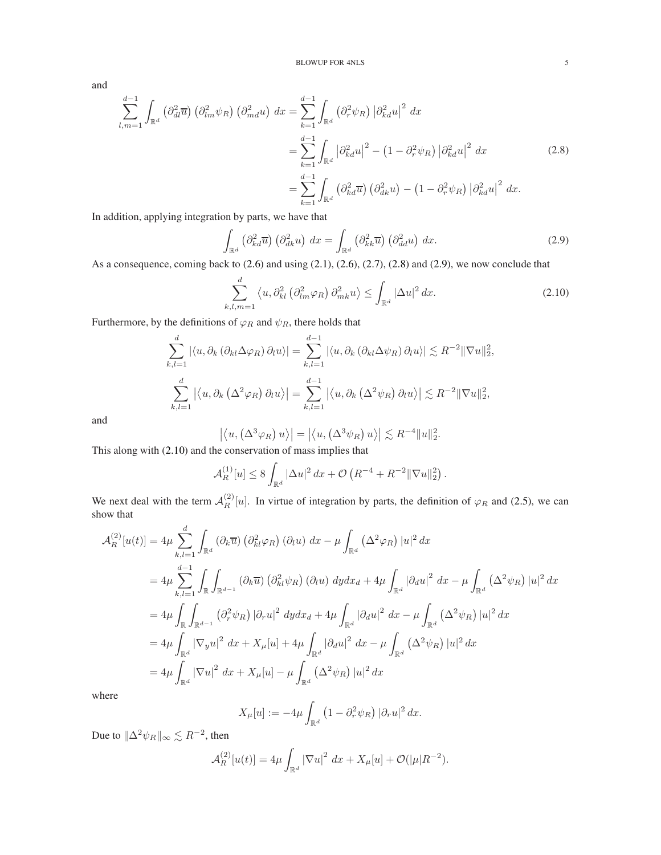and

$$
\sum_{l,m=1}^{d-1} \int_{\mathbb{R}^d} \left( \partial_{dl}^2 \overline{u} \right) \left( \partial_{lm}^2 \psi_R \right) \left( \partial_{md}^2 u \right) dx = \sum_{k=1}^{d-1} \int_{\mathbb{R}^d} \left( \partial_r^2 \psi_R \right) \left| \partial_{kd}^2 u \right|^2 dx
$$
  
\n
$$
= \sum_{k=1}^{d-1} \int_{\mathbb{R}^d} \left| \partial_{kd}^2 u \right|^2 - \left( 1 - \partial_r^2 \psi_R \right) \left| \partial_{kd}^2 u \right|^2 dx
$$
  
\n
$$
= \sum_{k=1}^{d-1} \int_{\mathbb{R}^d} \left( \partial_{kd}^2 \overline{u} \right) \left( \partial_{dk}^2 u \right) - \left( 1 - \partial_r^2 \psi_R \right) \left| \partial_{kd}^2 u \right|^2 dx.
$$
\n(2.8)

In addition, applying integration by parts, we have that

<span id="page-4-0"></span>
$$
\int_{\mathbb{R}^d} \left( \partial_{kd}^2 \overline{u} \right) \left( \partial_{dk}^2 u \right) dx = \int_{\mathbb{R}^d} \left( \partial_{kk}^2 \overline{u} \right) \left( \partial_{dd}^2 u \right) dx.
$$
\n(2.9)

As a consequence, coming back to [\(2.6\)](#page-3-0) and using [\(2.1\)](#page-2-3), [\(2.6\)](#page-3-0), [\(2.7\)](#page-3-1), [\(2.8\)](#page-4-0) and [\(2.9\)](#page-4-1), we now conclude that

<span id="page-4-2"></span><span id="page-4-1"></span>
$$
\sum_{k,l,m=1}^{d} \left\langle u, \partial_{kl}^{2} \left( \partial_{lm}^{2} \varphi_{R} \right) \partial_{mk}^{2} u \right\rangle \leq \int_{\mathbb{R}^{d}} |\Delta u|^{2} dx. \tag{2.10}
$$

Furthermore, by the definitions of  $\varphi_R$  and  $\psi_R$ , there holds that

$$
\sum_{k,l=1}^{d} |\langle u, \partial_k (\partial_{kl} \Delta \varphi_R) \partial_l u \rangle| = \sum_{k,l=1}^{d-1} |\langle u, \partial_k (\partial_{kl} \Delta \psi_R) \partial_l u \rangle| \lesssim R^{-2} \|\nabla u\|_2^2,
$$
  

$$
\sum_{k,l=1}^{d} |\langle u, \partial_k (\Delta^2 \varphi_R) \partial_l u \rangle| = \sum_{k,l=1}^{d-1} |\langle u, \partial_k (\Delta^2 \psi_R) \partial_l u \rangle| \lesssim R^{-2} \|\nabla u\|_2^2,
$$

and

$$
|\langle u, (\Delta^3 \varphi_R) u \rangle| = |\langle u, (\Delta^3 \psi_R) u \rangle| \lesssim R^{-4} ||u||_2^2.
$$

This along with [\(2.10\)](#page-4-2) and the conservation of mass implies that

$$
\mathcal{A}_{R}^{(1)}[u] \leq 8 \int_{\mathbb{R}^{d}} |\Delta u|^{2} dx + \mathcal{O}\left(R^{-4} + R^{-2} \|\nabla u\|_{2}^{2}\right).
$$

We next deal with the term  $A_R^{(2)}[u]$ . In virtue of integration by parts, the definition of  $\varphi_R$  and [\(2.5\)](#page-2-2), we can show that d

$$
\mathcal{A}_{R}^{(2)}[u(t)] = 4\mu \sum_{k,l=1}^{d} \int_{\mathbb{R}^{d}} \left(\partial_{k}\overline{u}\right) \left(\partial_{kl}^{2}\varphi_{R}\right) \left(\partial_{l}u\right) dx - \mu \int_{\mathbb{R}^{d}} \left(\Delta^{2}\varphi_{R}\right) |u|^{2} dx
$$
  
\n
$$
= 4\mu \sum_{k,l=1}^{d-1} \int_{\mathbb{R}} \int_{\mathbb{R}^{d-1}} \left(\partial_{k}\overline{u}\right) \left(\partial_{kl}^{2}\psi_{R}\right) \left(\partial_{l}u\right) dy dx_{d} + 4\mu \int_{\mathbb{R}^{d}} \left|\partial_{d}u\right|^{2} dx - \mu \int_{\mathbb{R}^{d}} \left(\Delta^{2}\psi_{R}\right) |u|^{2} dx
$$
  
\n
$$
= 4\mu \int_{\mathbb{R}} \int_{\mathbb{R}^{d-1}} \left(\partial_{r}^{2}\psi_{R}\right) \left|\partial_{r}u\right|^{2} dy dx_{d} + 4\mu \int_{\mathbb{R}^{d}} \left|\partial_{d}u\right|^{2} dx - \mu \int_{\mathbb{R}^{d}} \left(\Delta^{2}\psi_{R}\right) |u|^{2} dx
$$
  
\n
$$
= 4\mu \int_{\mathbb{R}^{d}} \left|\nabla_{y}u\right|^{2} dx + X_{\mu}[u] + 4\mu \int_{\mathbb{R}^{d}} \left|\partial_{d}u\right|^{2} dx - \mu \int_{\mathbb{R}^{d}} \left(\Delta^{2}\psi_{R}\right) |u|^{2} dx
$$
  
\n
$$
= 4\mu \int_{\mathbb{R}^{d}} \left|\nabla u\right|^{2} dx + X_{\mu}[u] - \mu \int_{\mathbb{R}^{d}} \left(\Delta^{2}\psi_{R}\right) |u|^{2} dx
$$

where

$$
X_{\mu}[u] := -4\mu \int_{\mathbb{R}^d} \left(1 - \partial_r^2 \psi_R\right) |\partial_r u|^2 dx.
$$

Due to  $\Vert \Delta^2 \psi_R \Vert_\infty \lesssim R^{-2}$ , then

$$
\mathcal{A}_{R}^{(2)}[u(t)] = 4\mu \int_{\mathbb{R}^{d}} |\nabla u|^{2} dx + X_{\mu}[u] + \mathcal{O}(|\mu|R^{-2}).
$$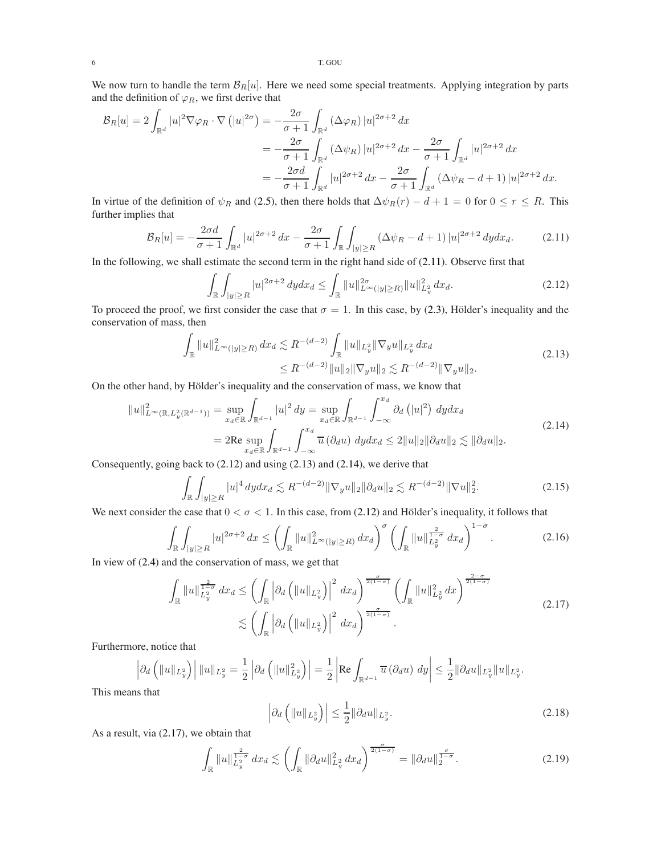We now turn to handle the term  $\mathcal{B}_R[u]$ . Here we need some special treatments. Applying integration by parts and the definition of  $\varphi_R$ , we first derive that

$$
\mathcal{B}_R[u] = 2 \int_{\mathbb{R}^d} |u|^2 \nabla \varphi_R \cdot \nabla \left( |u|^{2\sigma} \right) = -\frac{2\sigma}{\sigma+1} \int_{\mathbb{R}^d} (\Delta \varphi_R) |u|^{2\sigma+2} dx
$$
  

$$
= -\frac{2\sigma}{\sigma+1} \int_{\mathbb{R}^d} (\Delta \psi_R) |u|^{2\sigma+2} dx - \frac{2\sigma}{\sigma+1} \int_{\mathbb{R}^d} |u|^{2\sigma+2} dx
$$
  

$$
= -\frac{2\sigma d}{\sigma+1} \int_{\mathbb{R}^d} |u|^{2\sigma+2} dx - \frac{2\sigma}{\sigma+1} \int_{\mathbb{R}^d} (\Delta \psi_R - d + 1) |u|^{2\sigma+2} dx.
$$

In virtue of the definition of  $\psi_R$  and [\(2.5\)](#page-2-2), then there holds that  $\Delta \psi_R(r) - d + 1 = 0$  for  $0 \le r \le R$ . This further implies that

$$
\mathcal{B}_R[u] = -\frac{2\sigma d}{\sigma + 1} \int_{\mathbb{R}^d} |u|^{2\sigma + 2} \, dx - \frac{2\sigma}{\sigma + 1} \int_{\mathbb{R}} \int_{|y| \ge R} (\Delta \psi_R - d + 1) \, |u|^{2\sigma + 2} \, dy \, dx_d. \tag{2.11}
$$

In the following, we shall estimate the second term in the right hand side of [\(2.11\)](#page-5-0). Observe first that

<span id="page-5-3"></span><span id="page-5-2"></span><span id="page-5-1"></span><span id="page-5-0"></span>
$$
\int_{\mathbb{R}} \int_{|y| \ge R} |u|^{2\sigma+2} dy dx_d \le \int_{\mathbb{R}} \|u\|_{L^{\infty}(|y| \ge R)}^{2\sigma} \|u\|_{L_y^2}^2 dx_d.
$$
\n(2.12)

To proceed the proof, we first consider the case that  $\sigma = 1$ . In this case, by [\(2.3\)](#page-2-4), Hölder's inequality and the conservation of mass, then

$$
\int_{\mathbb{R}} \|u\|_{L^{\infty}(|y|\geq R)}^2 dx_d \lesssim R^{-(d-2)} \int_{\mathbb{R}} \|u\|_{L^2_y} \|\nabla_y u\|_{L^2_y} dx_d
$$
\n
$$
\leq R^{-(d-2)} \|u\|_2 \|\nabla_y u\|_2 \lesssim R^{-(d-2)} \|\nabla_y u\|_2.
$$
\n(2.13)

On the other hand, by Hölder's inequality and the conservation of mass, we know that

$$
||u||_{L^{\infty}(\mathbb{R},L_y^2(\mathbb{R}^{d-1}))}^2 = \sup_{x_d \in \mathbb{R}} \int_{\mathbb{R}^{d-1}} |u|^2 dy = \sup_{x_d \in \mathbb{R}} \int_{\mathbb{R}^{d-1}} \int_{-\infty}^{x_d} \partial_d (|u|^2) dy dx_d
$$
  
= 2Re  $\sup_{x_d \in \mathbb{R}} \int_{\mathbb{R}^{d-1}} \int_{-\infty}^{x_d} \overline{u} (\partial_d u) dy dx_d \le 2||u||_2 ||\partial_d u||_2 \lesssim ||\partial_d u||_2.$  (2.14)

Consequently, going back to [\(2.12\)](#page-5-1) and using [\(2.13\)](#page-5-2) and [\(2.14\)](#page-5-3), we derive that

$$
\int_{\mathbb{R}} \int_{|y| \ge R} |u|^4 \, dy \, dx \le R^{-(d-2)} \|\nabla_y u\|_2 \|\partial_d u\|_2 \lesssim R^{-(d-2)} \|\nabla u\|_2^2. \tag{2.15}
$$

We next consider the case that  $0 < \sigma < 1$ . In this case, from [\(2.12\)](#page-5-1) and Hölder's inequality, it follows that

$$
\int_{\mathbb{R}} \int_{|y| \ge R} |u|^{2\sigma+2} dx \le \left( \int_{\mathbb{R}} \|u\|_{L^{\infty}(|y| \ge R)}^2 dx \right)^{\sigma} \left( \int_{\mathbb{R}} \|u\|_{L_y^{\frac{2}{\sigma}}}^{\frac{2}{1-\sigma}} dx \right)^{1-\sigma}.
$$
\n(2.16)

In view of [\(2.4\)](#page-2-5) and the conservation of mass, we get that

$$
\int_{\mathbb{R}} \|u\|_{L_y^2}^{\frac{2}{1-\sigma}} dx_d \le \left(\int_{\mathbb{R}} \left|\partial_d \left(\|u\|_{L_y^2}\right)\right|^2 dx_d\right)^{\frac{\sigma}{2(1-\sigma)}} \left(\int_{\mathbb{R}} \|u\|_{L_y^2}^2 dx\right)^{\frac{2-\sigma}{2(1-\sigma)}}
$$
\n
$$
\lesssim \left(\int_{\mathbb{R}} \left|\partial_d \left(\|u\|_{L_y^2}\right)\right|^2 dx_d\right)^{\frac{\sigma}{2(1-\sigma)}}.
$$
\n(2.17)

Furthermore, notice that

$$
\left|\partial_d \left( \|u\|_{L_y^2} \right) \right| \|u\|_{L_y^2} = \frac{1}{2} \left| \partial_d \left( \|u\|_{L_y^2}^2 \right) \right| = \frac{1}{2} \left| \text{Re} \int_{\mathbb{R}^{d-1}} \overline{u} \left( \partial_d u \right) \, dy \right| \leq \frac{1}{2} \|\partial_d u\|_{L_y^2} \|u\|_{L_y^2}.
$$

This means that

<span id="page-5-8"></span><span id="page-5-7"></span><span id="page-5-6"></span><span id="page-5-5"></span><span id="page-5-4"></span>
$$
\left|\partial_d\left(\|u\|_{L_y^2}\right)\right| \le \frac{1}{2} \|\partial_d u\|_{L_y^2}.\tag{2.18}
$$

As a result, via [\(2.17\)](#page-5-4), we obtain that

$$
\int_{\mathbb{R}} \|u\|_{L_y^{2}}^{\frac{2}{1-\sigma}} dx_d \lesssim \left( \int_{\mathbb{R}} \|\partial_d u\|_{L_y^{2}}^2 dx_d \right)^{\frac{\sigma}{2(1-\sigma)}} = \|\partial_d u\|_{2}^{\frac{\sigma}{1-\sigma}}.
$$
\n(2.19)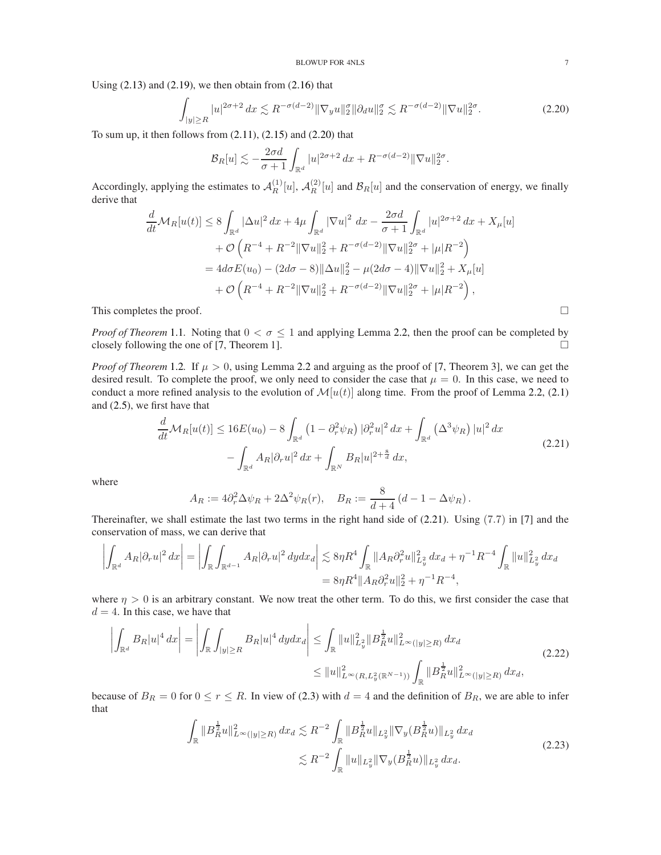Using  $(2.13)$  and  $(2.19)$ , we then obtain from  $(2.16)$  that

$$
\int_{|y| \ge R} |u|^{2\sigma+2} \, dx \lesssim R^{-\sigma(d-2)} \|\nabla_y u\|_2^{\sigma} \|\partial_d u\|_2^{\sigma} \lesssim R^{-\sigma(d-2)} \|\nabla u\|_2^{2\sigma}.
$$
\n(2.20)

To sum up, it then follows from  $(2.11)$ ,  $(2.15)$  and  $(2.20)$  that

<span id="page-6-0"></span>
$$
\mathcal{B}_R[u] \lesssim -\frac{2\sigma d}{\sigma+1} \int_{\mathbb{R}^d} |u|^{2\sigma+2} \, dx + R^{-\sigma(d-2)} \|\nabla u\|_2^{2\sigma}.
$$

Accordingly, applying the estimates to  $\mathcal{A}_R^{(1)}$  $\mathcal{A}_R^{(1)}[u], \, \mathcal{A}_R^{(2)}$  $R^{(2)}[u]$  and  $\mathcal{B}_R[u]$  and the conservation of energy, we finally derive that

$$
\frac{d}{dt}\mathcal{M}_{R}[u(t)] \leq 8 \int_{\mathbb{R}^{d}} |\Delta u|^{2} dx + 4\mu \int_{\mathbb{R}^{d}} |\nabla u|^{2} dx - \frac{2\sigma d}{\sigma + 1} \int_{\mathbb{R}^{d}} |u|^{2\sigma + 2} dx + X_{\mu}[u] \n+ \mathcal{O}\left(R^{-4} + R^{-2} \|\nabla u\|_{2}^{2} + R^{-\sigma(d-2)} \|\nabla u\|_{2}^{2\sigma} + |\mu| R^{-2}\right) \n= 4d\sigma E(u_{0}) - (2d\sigma - 8) \|\Delta u\|_{2}^{2} - \mu(2d\sigma - 4) \|\nabla u\|_{2}^{2} + X_{\mu}[u] \n+ \mathcal{O}\left(R^{-4} + R^{-2} \|\nabla u\|_{2}^{2} + R^{-\sigma(d-2)} \|\nabla u\|_{2}^{2\sigma} + |\mu| R^{-2}\right),
$$

This completes the proof.  $\Box$ 

*Proof of Theorem* [1.1](#page-1-0). Noting that  $0 < \sigma \le 1$  and applying Lemma [2.2,](#page-2-1) then the proof can be completed by closely following the one of [\[7,](#page-8-0) Theorem 1].  $\Box$ 

*Proof of Theorem* [1.2](#page-1-1). If  $\mu > 0$ , using Lemma [2.2](#page-2-1) and arguing as the proof of [\[7,](#page-8-0) Theorem 3], we can get the desired result. To complete the proof, we only need to consider the case that  $\mu = 0$ . In this case, we need to conduct a more refined analysis to the evolution of  $\mathcal{M}[u(t)]$  along time. From the proof of Lemma [2.2,](#page-2-1) [\(2.1\)](#page-2-3) and [\(2.5\)](#page-2-2), we first have that

$$
\frac{d}{dt} \mathcal{M}_R[u(t)] \le 16E(u_0) - 8 \int_{\mathbb{R}^d} \left(1 - \partial_r^2 \psi_R\right) |\partial_r^2 u|^2 dx + \int_{\mathbb{R}^d} \left(\Delta^3 \psi_R\right) |u|^2 dx \n- \int_{\mathbb{R}^d} A_R |\partial_r u|^2 dx + \int_{\mathbb{R}^N} B_R |u|^{2 + \frac{8}{d}} dx,
$$
\n(2.21)

where

<span id="page-6-1"></span>
$$
A_R := 4\partial_r^2 \Delta \psi_R + 2\Delta^2 \psi_R(r), \quad B_R := \frac{8}{d+4} \left(d-1 - \Delta \psi_R\right).
$$

Thereinafter, we shall estimate the last two terms in the right hand side of [\(2.21\)](#page-6-1). Using (7.7) in [\[7\]](#page-8-0) and the conservation of mass, we can derive that

$$
\left| \int_{\mathbb{R}^d} A_R |\partial_r u|^2 \, dx \right| = \left| \int_{\mathbb{R}} \int_{\mathbb{R}^{d-1}} A_R |\partial_r u|^2 \, dy dx_d \right| \lesssim 8 \eta R^4 \int_{\mathbb{R}} \| A_R \partial_r^2 u \|_{L_y^2}^2 \, dx_d + \eta^{-1} R^{-4} \int_{\mathbb{R}} \| u \|_{L_y^2}^2 \, dx_d
$$
  
= 8 \eta R^4 \| A\_R \partial\_r^2 u \|\_2^2 + \eta^{-1} R^{-4},

where  $\eta > 0$  is an arbitrary constant. We now treat the other term. To do this, we first consider the case that  $d = 4$ . In this case, we have that

$$
\left| \int_{\mathbb{R}^d} B_R |u|^4 \, dx \right| = \left| \int_{\mathbb{R}} \int_{|y| \ge R} B_R |u|^4 \, dy \, dx \right| \le \int_{\mathbb{R}} \|u\|_{L_y^2}^2 \|B_R^{\frac{1}{2}} u\|_{L^\infty(|y| \ge R)}^2 \, dx \, dx \le \|u\|_{L^\infty(R, L_y^2(\mathbb{R}^{N-1}))}^2 \int_{\mathbb{R}} \|B_R^{\frac{1}{2}} u\|_{L^\infty(|y| \ge R)}^2 \, dx \, dx \right| \tag{2.22}
$$

because of  $B_R = 0$  for  $0 \le r \le R$ . In view of [\(2.3\)](#page-2-4) with  $d = 4$  and the definition of  $B_R$ , we are able to infer that

<span id="page-6-3"></span><span id="page-6-2"></span>
$$
\int_{\mathbb{R}} \|B_R^{\frac{1}{2}} u\|_{L^{\infty}(|y| \ge R)}^2 dx_d \lesssim R^{-2} \int_{\mathbb{R}} \|B_R^{\frac{1}{2}} u\|_{L_y^2} \|\nabla_y (B_R^{\frac{1}{2}} u)\|_{L_y^2} dx_d
$$
\n
$$
\lesssim R^{-2} \int_{\mathbb{R}} \|u\|_{L_y^2} \|\nabla_y (B_R^{\frac{1}{2}} u)\|_{L_y^2} dx_d.
$$
\n(2.23)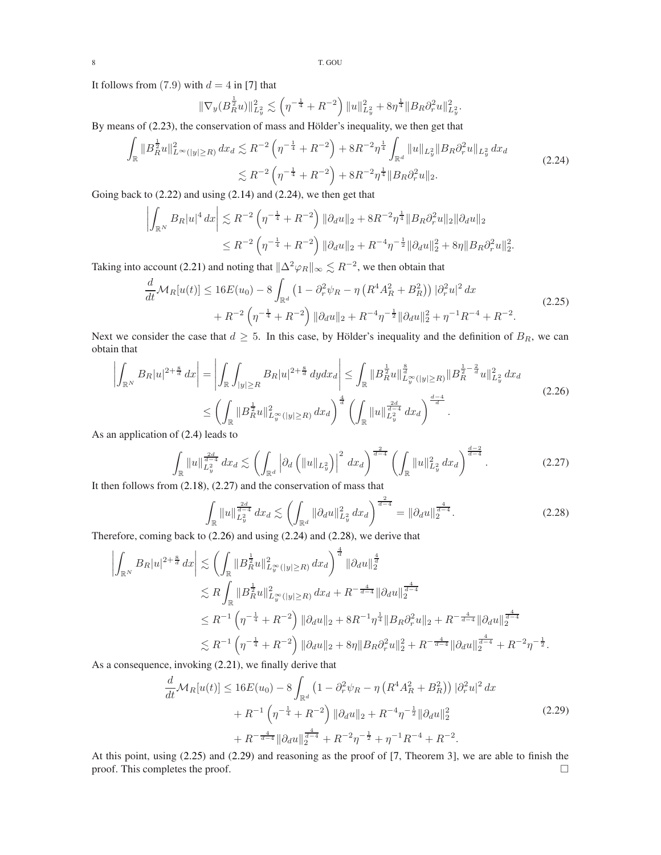It follows from (7.9) with  $d = 4$  in [\[7\]](#page-8-0) that

<span id="page-7-0"></span>
$$
\|\nabla_y (B_R^{\frac{1}{2}} u)\|_{L_y^2}^2 \lesssim \left(\eta^{-\frac{1}{4}} + R^{-2}\right) \|u\|_{L_y^2}^2 + 8 \eta^{\frac{1}{4}} \|B_R \partial_r^2 u\|_{L_y^2}^2.
$$

By means of [\(2.23\)](#page-6-2), the conservation of mass and Hölder's inequality, we then get that

$$
\int_{\mathbb{R}} \|B_R^{\frac{1}{2}} u\|_{L^{\infty}(|y| \ge R)}^2 dx_d \lesssim R^{-2} \left(\eta^{-\frac{1}{4}} + R^{-2}\right) + 8R^{-2} \eta^{\frac{1}{4}} \int_{\mathbb{R}^d} \|u\|_{L^2_y} \|B_R \partial_r^2 u\|_{L^2_y} dx_d
$$
\n
$$
\lesssim R^{-2} \left(\eta^{-\frac{1}{4}} + R^{-2}\right) + 8R^{-2} \eta^{\frac{1}{4}} \|B_R \partial_r^2 u\|_2.
$$
\n(2.24)

Going back to [\(2.22\)](#page-6-3) and using [\(2.14\)](#page-5-3) and [\(2.24\)](#page-7-0), we then get that

$$
\left| \int_{\mathbb{R}^N} B_R |u|^4 dx \right| \lesssim R^{-2} \left( \eta^{-\frac{1}{4}} + R^{-2} \right) ||\partial_d u||_2 + 8R^{-2} \eta^{\frac{1}{4}} ||B_R \partial_r^2 u||_2 ||\partial_d u||_2
$$
  

$$
\leq R^{-2} \left( \eta^{-\frac{1}{4}} + R^{-2} \right) ||\partial_d u||_2 + R^{-4} \eta^{-\frac{1}{2}} ||\partial_d u||_2^2 + 8\eta ||B_R \partial_r^2 u||_2^2.
$$

Taking into account [\(2.21\)](#page-6-1) and noting that  $\|\Delta^2\varphi_R\|_\infty \lesssim R^{-2}$ , we then obtain that

$$
\frac{d}{dt}\mathcal{M}_R[u(t)] \le 16E(u_0) - 8\int_{\mathbb{R}^d} \left(1 - \partial_r^2 \psi_R - \eta \left(R^4 A_R^2 + B_R^2\right)\right) |\partial_r^2 u|^2 dx \n+ R^{-2} \left(\eta^{-\frac{1}{4}} + R^{-2}\right) ||\partial_d u||_2 + R^{-4} \eta^{-\frac{1}{2}} ||\partial_d u||_2^2 + \eta^{-1} R^{-4} + R^{-2}.
$$
\n(2.25)

Next we consider the case that  $d \geq 5$ . In this case, by Hölder's inequality and the definition of  $B_R$ , we can obtain that  $\overline{1}$ 

$$
\left| \int_{\mathbb{R}^N} B_R |u|^{2 + \frac{8}{d}} dx \right| = \left| \int_{\mathbb{R}} \int_{|y| \ge R} B_R |u|^{2 + \frac{8}{d}} dy dx_d \right| \le \int_{\mathbb{R}} \|B_R^{\frac{1}{2}} u\|_{L_y^{\infty}(|y| \ge R)}^{\frac{8}{d}} \|B_R^{\frac{1}{2} - \frac{2}{d}} u\|_{L_y^2}^2 dx_d
$$
\n
$$
\le \left( \int_{\mathbb{R}} \|B_R^{\frac{1}{2}} u\|_{L_y^{\infty}(|y| \ge R)}^2 dx_d \right)^{\frac{4}{d}} \left( \int_{\mathbb{R}} \|u\|_{L_y^{\frac{2d}{d}} dx_d \right)^{\frac{d-4}{d}}.
$$
\nin application of (2.4) leads to

\n
$$
= \left( \int_{\mathbb{R}} \|B_R^{\frac{1}{2}} u\|_{L_y^{\infty}(|y| \ge R)}^2 dx_d \right)^{\frac{d-4}{d}}.
$$
\n(2.26)

As an application of [\(2.4\)](#page-2-5) leads to

$$
\int_{\mathbb{R}} \|u\|_{L_y^2}^{\frac{2d}{d-4}} dx_d \lesssim \left( \int_{\mathbb{R}^d} \left| \partial_d \left( \|u\|_{L_y^2} \right) \right|^2 dx_d \right)^{\frac{2}{d-4}} \left( \int_{\mathbb{R}} \|u\|_{L_y^2}^2 dx_d \right)^{\frac{d-2}{d-4}}.
$$
\n(2.27)

It then follows from [\(2.18\)](#page-5-8), [\(2.27\)](#page-7-1) and the conservation of mass that

<span id="page-7-4"></span><span id="page-7-3"></span><span id="page-7-2"></span><span id="page-7-1"></span>
$$
\int_{\mathbb{R}} \|u\|_{L_y^{2}}^{\frac{2d}{d-4}} dx_d \lesssim \left( \int_{\mathbb{R}^d} \|\partial_d u\|_{L_y^{2}}^2 dx_d \right)^{\frac{2}{d-4}} = \|\partial_d u\|_2^{\frac{4}{d-4}}.
$$
\n(2.28)

Therefore, coming back to [\(2.26\)](#page-7-2) and using [\(2.24\)](#page-7-0) and [\(2.28\)](#page-7-3), we derive that

$$
\left| \int_{\mathbb{R}^N} B_R |u|^{2+\frac{8}{d}} dx \right| \lesssim \left( \int_{\mathbb{R}} \|B_R^{\frac{1}{2}} u\|_{L_y^{\infty}(|y| \ge R)}^2 dx_d \right)^{\frac{4}{d}} \|\partial_d u\|_2^{\frac{4}{d}}
$$
  
\n
$$
\lesssim R \int_{\mathbb{R}} \|B_R^{\frac{1}{2}} u\|_{L_y^{\infty}(|y| \ge R)}^2 dx_d + R^{-\frac{4}{d-4}} \|\partial_d u\|_2^{\frac{4}{d-4}}
$$
  
\n
$$
\le R^{-1} \left( \eta^{-\frac{1}{4}} + R^{-2} \right) \|\partial_d u\|_2 + 8R^{-1} \eta^{\frac{1}{4}} \|B_R \partial_r^2 u\|_2 + R^{-\frac{4}{d-4}} \|\partial_d u\|_2^{\frac{4}{d-4}}
$$
  
\n
$$
\lesssim R^{-1} \left( \eta^{-\frac{1}{4}} + R^{-2} \right) \|\partial_d u\|_2 + 8\eta \|B_R \partial_r^2 u\|_2^2 + R^{-\frac{4}{d-4}} \|\partial_d u\|_2^{\frac{4}{d-4}} + R^{-2} \eta^{-\frac{1}{2}}.
$$

As a consequence, invoking [\(2.21\)](#page-6-1), we finally derive that

<span id="page-7-5"></span>
$$
\frac{d}{dt}\mathcal{M}_R[u(t)] \le 16E(u_0) - 8\int_{\mathbb{R}^d} \left(1 - \partial_r^2 \psi_R - \eta \left(R^4 A_R^2 + B_R^2\right)\right) |\partial_r^2 u|^2 dx
$$

$$
+ R^{-1} \left(\eta^{-\frac{1}{4}} + R^{-2}\right) ||\partial_d u||_2 + R^{-4} \eta^{-\frac{1}{2}} ||\partial_d u||_2^2
$$
(2.29)
$$
+ R^{-\frac{4}{d-4}} ||\partial_d u||_2^{\frac{4}{d-4}} + R^{-2} \eta^{-\frac{1}{2}} + \eta^{-1} R^{-4} + R^{-2}.
$$

At this point, using [\(2.25\)](#page-7-4) and [\(2.29\)](#page-7-5) and reasoning as the proof of [\[7,](#page-8-0) Theorem 3], we are able to finish the proof. This completes the proof.  $\Box$